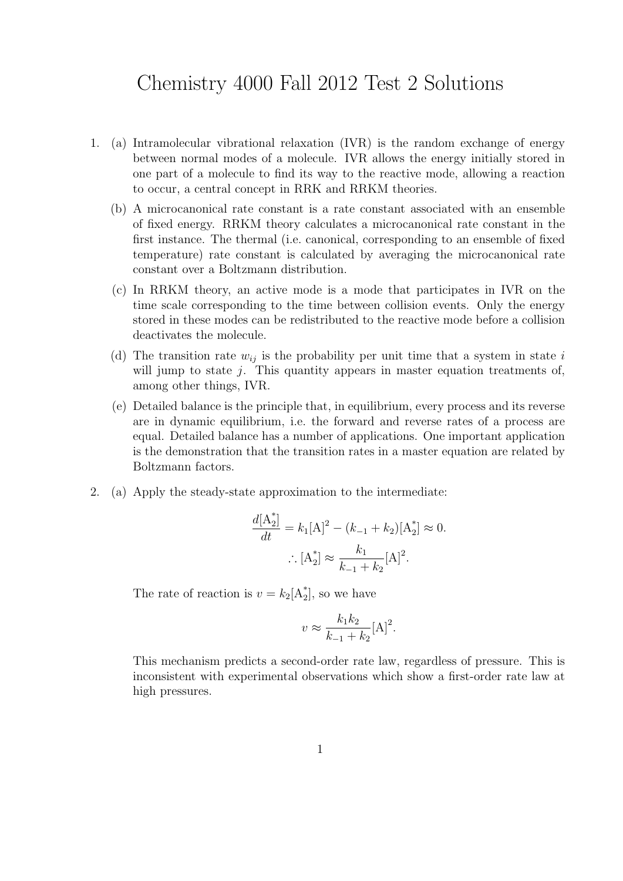## Chemistry 4000 Fall 2012 Test 2 Solutions

- 1. (a) Intramolecular vibrational relaxation (IVR) is the random exchange of energy between normal modes of a molecule. IVR allows the energy initially stored in one part of a molecule to find its way to the reactive mode, allowing a reaction to occur, a central concept in RRK and RRKM theories.
	- (b) A microcanonical rate constant is a rate constant associated with an ensemble of fixed energy. RRKM theory calculates a microcanonical rate constant in the first instance. The thermal (i.e. canonical, corresponding to an ensemble of fixed temperature) rate constant is calculated by averaging the microcanonical rate constant over a Boltzmann distribution.
	- (c) In RRKM theory, an active mode is a mode that participates in IVR on the time scale corresponding to the time between collision events. Only the energy stored in these modes can be redistributed to the reactive mode before a collision deactivates the molecule.
	- (d) The transition rate  $w_{ij}$  is the probability per unit time that a system in state i will jump to state  $j$ . This quantity appears in master equation treatments of, among other things, IVR.
	- (e) Detailed balance is the principle that, in equilibrium, every process and its reverse are in dynamic equilibrium, i.e. the forward and reverse rates of a process are equal. Detailed balance has a number of applications. One important application is the demonstration that the transition rates in a master equation are related by Boltzmann factors.
- 2. (a) Apply the steady-state approximation to the intermediate:

$$
\frac{d[A_2^*]}{dt} = k_1[A]^2 - (k_{-1} + k_2)[A_2^*] \approx 0.
$$

$$
\therefore [A_2^*] \approx \frac{k_1}{k_{-1} + k_2}[A]^2.
$$

The rate of reaction is  $v = k_2[A_2^*]$ , so we have

$$
v \approx \frac{k_1 k_2}{k_{-1} + k_2} [A]^2.
$$

This mechanism predicts a second-order rate law, regardless of pressure. This is inconsistent with experimental observations which show a first-order rate law at high pressures.